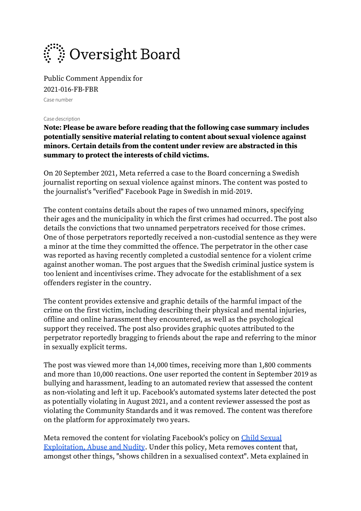

Public Comment Appendix for 2021-016-FB-FBR Case number

Case description

**Note: Please be aware before reading that the following case summary includes potentially sensitive material relating to content about sexual violence against minors. Certain details from the content under review are abstracted in this summary to protect the interests of child victims.**

On 20 September 2021, Meta referred a case to the Board concerning a Swedish journalist reporting on sexual violence against minors. The content was posted to the journalist's "verified" Facebook Page in Swedish in mid-2019.

The content contains details about the rapes of two unnamed minors, specifying their ages and the municipality in which the first crimes had occurred. The post also details the convictions that two unnamed perpetrators received for those crimes. One of those perpetrators reportedly received a non-custodial sentence as they were a minor at the time they committed the offence. The perpetrator in the other case was reported as having recently completed a custodial sentence for a violent crime against another woman. The post argues that the Swedish criminal justice system is too lenient and incentivises crime. They advocate for the establishment of a sex offenders register in the country.

The content provides extensive and graphic details of the harmful impact of the crime on the first victim, including describing their physical and mental injuries, offline and online harassment they encountered, as well as the psychological support they received. The post also provides graphic quotes attributed to the perpetrator reportedly bragging to friends about the rape and referring to the minor in sexually explicit terms.

The post was viewed more than 14,000 times, receiving more than 1,800 comments and more than 10,000 reactions. One user reported the content in September 2019 as bullying and harassment, leading to an automated review that assessed the content as non-violating and left it up. Facebook's automated systems later detected the post as potentially violating in August 2021, and a content reviewer assessed the post as violating the Community Standards and it was removed. The content was therefore on the platform for approximately two years.

Meta removed the content for violating Facebook's policy on [Child Sexual](https://l.facebook.com/l.php?u=https%3A%2F%2Ftransparency.fb.com%2Fen-gb%2Fpolicies%2Fcommunity-standards%2Fchild-sexual-exploitation-abuse-nudity%2F&h=AT0o6vydkkwmmfxARExw2LEvRMdBC5C3ycdpXvdL-Y-AthvzWnBv8Jp21nVkvvIC2B-S6E93nn_iAfQkBBO7ogY9MjZJAK0V45I6Jf8buvc84AjTl94RutwT7Roy_aC8)  [Exploitation, Abuse and Nudity.](https://l.facebook.com/l.php?u=https%3A%2F%2Ftransparency.fb.com%2Fen-gb%2Fpolicies%2Fcommunity-standards%2Fchild-sexual-exploitation-abuse-nudity%2F&h=AT0o6vydkkwmmfxARExw2LEvRMdBC5C3ycdpXvdL-Y-AthvzWnBv8Jp21nVkvvIC2B-S6E93nn_iAfQkBBO7ogY9MjZJAK0V45I6Jf8buvc84AjTl94RutwT7Roy_aC8) Under this policy, Meta removes content that, amongst other things, "shows children in a sexualised context". Meta explained in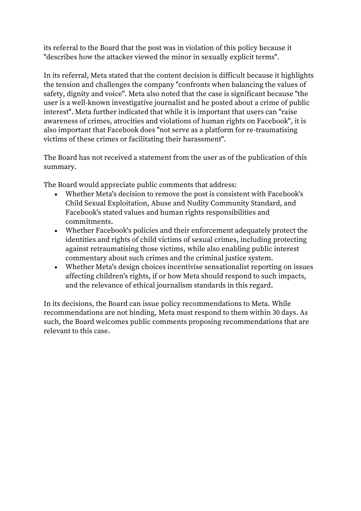its referral to the Board that the post was in violation of this policy because it "describes how the attacker viewed the minor in sexually explicit terms".

In its referral, Meta stated that the content decision is difficult because it highlights the tension and challenges the company "confronts when balancing the values of safety, dignity and voice". Meta also noted that the case is significant because "the user is a well-known investigative journalist and he posted about a crime of public interest". Meta further indicated that while it is important that users can "raise awareness of crimes, atrocities and violations of human rights on Facebook", it is also important that Facebook does "not serve as a platform for re-traumatising victims of these crimes or facilitating their harassment".

The Board has not received a statement from the user as of the publication of this summary.

The Board would appreciate public comments that address:

- Whether Meta's decision to remove the post is consistent with Facebook's Child Sexual Exploitation, Abuse and Nudity Community Standard, and Facebook's stated values and human rights responsibilities and commitments.
- Whether Facebook's policies and their enforcement adequately protect the identities and rights of child victims of sexual crimes, including protecting against retraumatising those victims, while also enabling public interest commentary about such crimes and the criminal justice system.
- Whether Meta's design choices incentivise sensationalist reporting on issues affecting children's rights, if or how Meta should respond to such impacts, and the relevance of ethical journalism standards in this regard.

In its decisions, the Board can issue policy recommendations to Meta. While recommendations are not binding, Meta must respond to them within 30 days. As such, the Board welcomes public comments proposing recommendations that are relevant to this case.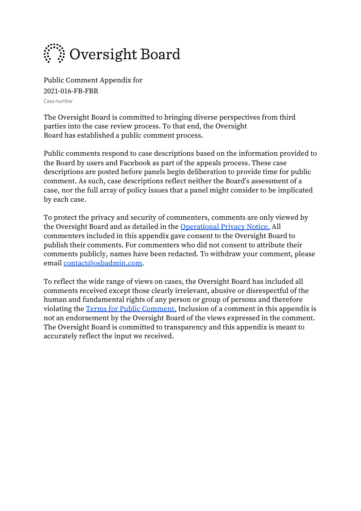

Public Comment Appendix for 2021-016-FB-FBR Case number

The Oversight Board is committed to bringing diverse perspectives from third parties into the case review process. To that end, the Oversight Board has established a public comment process.

Public comments respond to case descriptions based on the information provided to the Board by users and Facebook as part of the appeals process. These case descriptions are posted before panels begin deliberation to provide time for public comment. As such, case descriptions reflect neither the Board's assessment of a case, nor the full array of policy issues that a panel might consider to be implicated by each case.

To protect the privacy and security of commenters, comments are only viewed by the Oversight Board and as detailed in the [Operational Privacy Notice.](https://osbcontent.s3-eu-west-1.amazonaws.com/OSB+Operational+Privacy+Notice.pdf) All commenters included in this appendix gave consent to the Oversight Board to publish their comments. For commenters who did not consent to attribute their comments publicly, names have been redacted. To withdraw your comment, please email [contact@osbadmin.com.](mailto:contact@osbadmin.com?subject=Public%20Comment%20Form)

To reflect the wide range of views on cases, the Oversight Board has included all comments received except those clearly irrelevant, abusive or disrespectful of the human and fundamental rights of any person or group of persons and therefore violating the [Terms for Public Comment.](https://osbcontent.s3-eu-west-1.amazonaws.com/Public+Comment+Terms+OSB.pdf) Inclusion of a comment in this appendix is not an endorsement by the Oversight Board of the views expressed in the comment. The Oversight Board is committed to transparency and this appendix is meant to accurately reflect the input we received.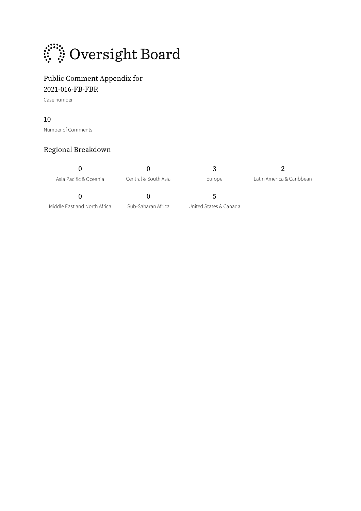

### Public Comment Appendix for

2021-016-FB-FBR

Case number

### 10

Number of Comments

### Regional Breakdown

 $0$   $3$  2 Asia Pacific & Oceania Central & South Asia Europe Latin America & Caribbean

Middle East and North Africa Sub-Saharan Africa United States & Canada

0 0 5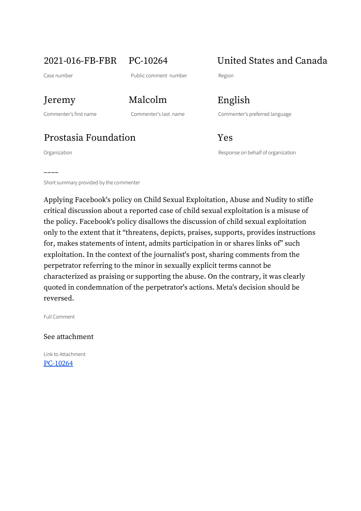# 2021-016-FB-FBR PC-10264 United States and Canada

# Prostasia Foundation Tes

Organization Response on behalf of organization

––––

Jeremy Malcolm English

Commenter's first name Commenter's last name Commenter's preferred language

Short summary provided by the commenter

Applying Facebook's policy on Child Sexual Exploitation, Abuse and Nudity to stifle critical discussion about a reported case of child sexual exploitation is a misuse of the policy. Facebook's policy disallows the discussion of child sexual exploitation only to the extent that it "threatens, depicts, praises, supports, provides instructions for, makes statements of intent, admits participation in or shares links of" such exploitation. In the context of the journalist's post, sharing comments from the perpetrator referring to the minor in sexually explicit terms cannot be characterized as praising or supporting the abuse. On the contrary, it was clearly quoted in condemnation of the perpetrator's actions. Meta's decision should be reversed.

Full Comment

See attachment

Link to Attachment [PC-10264](https://osbcontent.s3.eu-west-1.amazonaws.com/PC-10264.pdf)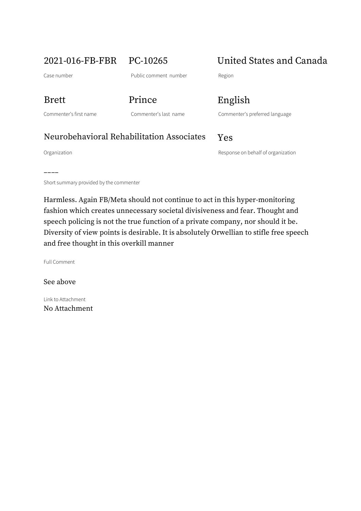2021-016-FB-FBR PC-10265 United States and Canada

Case number **Case number** Public comment number Region

Brett Prince English

Commenter's first name Commenter's last name Commenter's preferred language

## Neurobehavioral Rehabilitation Associates Yes

––––

Organization and a structure of the Company of the Response on behalf of organization

Short summary provided by the commenter

Harmless. Again FB/Meta should not continue to act in this hyper-monitoring fashion which creates unnecessary societal divisiveness and fear. Thought and speech policing is not the true function of a private company, nor should it be. Diversity of view points is desirable. It is absolutely Orwellian to stifle free speech and free thought in this overkill manner

Full Comment

See above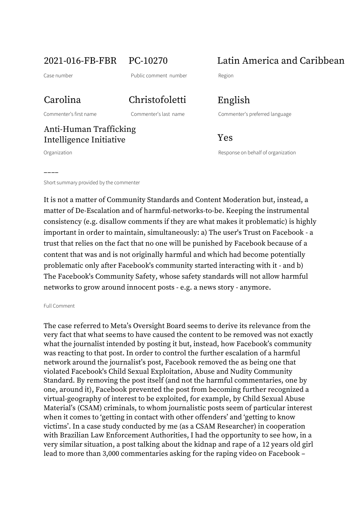2021-016-FB-FBR PC-10270 Latin America and Caribbean

# Carolina Christofoletti English

### Anti-Human Trafficking Intelligence Initiative Tes

––––

Commenter's first name Commenter's last name Commenter's preferred language

Organization Response on behalf of organization

Short summary provided by the commenter

It is not a matter of Community Standards and Content Moderation but, instead, a matter of De-Escalation and of harmful-networks-to-be. Keeping the instrumental consistency (e.g. disallow comments if they are what makes it problematic) is highly important in order to maintain, simultaneously: a) The user's Trust on Facebook - a trust that relies on the fact that no one will be punished by Facebook because of a content that was and is not originally harmful and which had become potentially problematic only after Facebook's community started interacting with it - and b) The Facebook's Community Safety, whose safety standards will not allow harmful networks to grow around innocent posts - e.g. a news story - anymore.

### Full Comment

The case referred to Meta's Oversight Board seems to derive its relevance from the very fact that what seems to have caused the content to be removed was not exactly what the journalist intended by posting it but, instead, how Facebook's community was reacting to that post. In order to control the further escalation of a harmful network around the journalist's post, Facebook removed the as being one that violated Facebook's Child Sexual Exploitation, Abuse and Nudity Community Standard. By removing the post itself (and not the harmful commentaries, one by one, around it), Facebook prevented the post from becoming further recognized a virtual-geography of interest to be exploited, for example, by Child Sexual Abuse Material's (CSAM) criminals, to whom journalistic posts seem of particular interest when it comes to 'getting in contact with other offenders' and 'getting to know victims'. In a case study conducted by me (as a CSAM Researcher) in cooperation with Brazilian Law Enforcement Authorities, I had the opportunity to see how, in a very similar situation, a post talking about the kidnap and rape of a 12 years old girl lead to more than 3,000 commentaries asking for the raping video on Facebook –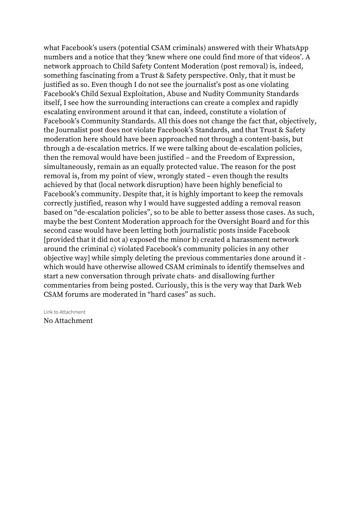what Facebook's users (potential CSAM criminals) answered with their WhatsApp numbers and a notice that they 'knew where one could find more of that videos'. A network approach to Child Safety Content Moderation (post removal) is, indeed, something fascinating from a Trust & Safety perspective. Only, that it must be justified as so. Even though I do not see the journalist's post as one violating Facebook's Child Sexual Exploitation, Abuse and Nudity Community Standards itself, I see how the surrounding interactions can create a complex and rapidly escalating environment around it that can, indeed, constitute a violation of Facebook's Community Standards. All this does not change the fact that, objectively, the Journalist post does not violate Facebook's Standards, and that Trust & Safety moderation here should have been approached not through a content-basis, but through a de-escalation metrics. If we were talking about de-escalation policies, then the removal would have been justified – and the Freedom of Expression, simultaneously, remain as an equally protected value. The reason for the post removal is, from my point of view, wrongly stated – even though the results achieved by that (local network disruption) have been highly beneficial to Facebook's community. Despite that, it is highly important to keep the removals correctly justified, reason why I would have suggested adding a removal reason based on "de-escalation policies", so to be able to better assess those cases. As such, maybe the best Content Moderation approach for the Oversight Board and for this second case would have been letting both journalistic posts inside Facebook [provided that it did not a) exposed the minor b) created a harassment network around the criminal c) violated Facebook's community policies in any other objective way] while simply deleting the previous commentaries done around it which would have otherwise allowed CSAM criminals to identify themselves and start a new conversation through private chats- and disallowing further commentaries from being posted. Curiously, this is the very way that Dark Web CSAM forums are moderated in "hard cases" as such.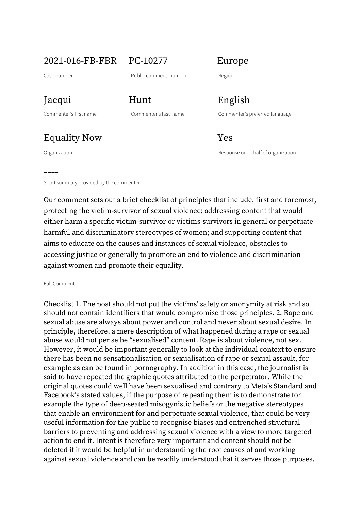2021-016-FB-FBR PC-10277 Europe

# Equality Now Yes

––––

Jacqui Hunt English

Commenter's first name Commenter's last name Commenter's preferred language

Organization Response on behalf of organization

Short summary provided by the commenter

Our comment sets out a brief checklist of principles that include, first and foremost, protecting the victim-survivor of sexual violence; addressing content that would either harm a specific victim-survivor or victims-survivors in general or perpetuate harmful and discriminatory stereotypes of women; and supporting content that aims to educate on the causes and instances of sexual violence, obstacles to accessing justice or generally to promote an end to violence and discrimination against women and promote their equality.

### Full Comment

Checklist 1. The post should not put the victims' safety or anonymity at risk and so should not contain identifiers that would compromise those principles. 2. Rape and sexual abuse are always about power and control and never about sexual desire. In principle, therefore, a mere description of what happened during a rape or sexual abuse would not per se be "sexualised" content. Rape is about violence, not sex. However, it would be important generally to look at the individual context to ensure there has been no sensationalisation or sexualisation of rape or sexual assault, for example as can be found in pornography. In addition in this case, the journalist is said to have repeated the graphic quotes attributed to the perpetrator. While the original quotes could well have been sexualised and contrary to Meta's Standard and Facebook's stated values, if the purpose of repeating them is to demonstrate for example the type of deep-seated misogynistic beliefs or the negative stereotypes that enable an environment for and perpetuate sexual violence, that could be very useful information for the public to recognise biases and entrenched structural barriers to preventing and addressing sexual violence with a view to more targeted action to end it. Intent is therefore very important and content should not be deleted if it would be helpful in understanding the root causes of and working against sexual violence and can be readily understood that it serves those purposes.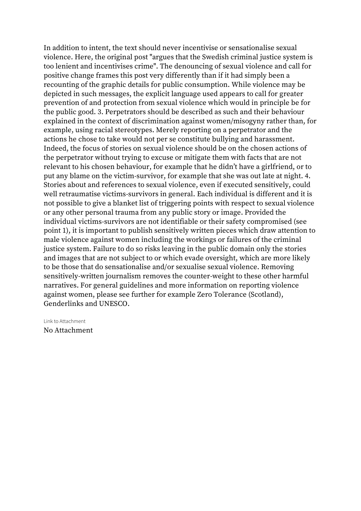In addition to intent, the text should never incentivise or sensationalise sexual violence. Here, the original post "argues that the Swedish criminal justice system is too lenient and incentivises crime". The denouncing of sexual violence and call for positive change frames this post very differently than if it had simply been a recounting of the graphic details for public consumption. While violence may be depicted in such messages, the explicit language used appears to call for greater prevention of and protection from sexual violence which would in principle be for the public good. 3. Perpetrators should be described as such and their behaviour explained in the context of discrimination against women/misogyny rather than, for example, using racial stereotypes. Merely reporting on a perpetrator and the actions he chose to take would not per se constitute bullying and harassment. Indeed, the focus of stories on sexual violence should be on the chosen actions of the perpetrator without trying to excuse or mitigate them with facts that are not relevant to his chosen behaviour, for example that he didn't have a girlfriend, or to put any blame on the victim-survivor, for example that she was out late at night. 4. Stories about and references to sexual violence, even if executed sensitively, could well retraumatise victims-survivors in general. Each individual is different and it is not possible to give a blanket list of triggering points with respect to sexual violence or any other personal trauma from any public story or image. Provided the individual victims-survivors are not identifiable or their safety compromised (see point 1), it is important to publish sensitively written pieces which draw attention to male violence against women including the workings or failures of the criminal justice system. Failure to do so risks leaving in the public domain only the stories and images that are not subject to or which evade oversight, which are more likely to be those that do sensationalise and/or sexualise sexual violence. Removing sensitively-written journalism removes the counter-weight to these other harmful narratives. For general guidelines and more information on reporting violence against women, please see further for example Zero Tolerance (Scotland), Genderlinks and UNESCO.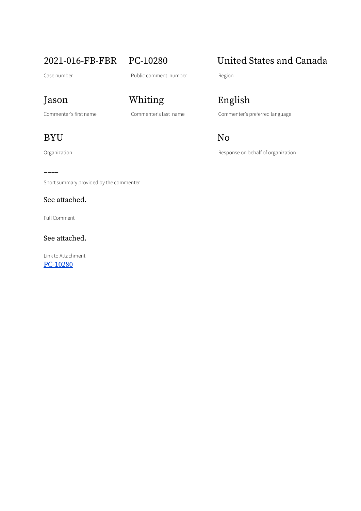## BYU No

––––

Short summary provided by the commenter

### See attached.

Full Comment

See attached.

Link to Attachment [PC-10280](https://osbcontent.s3.eu-west-1.amazonaws.com/PC-10280.pdf)

# Jason Whiting English

# 2021-016-FB-FBR PC-10280 United States and Canada

Commenter's first name Commenter's last name Commenter's preferred language

Organization **Construction** Construction Response on behalf of organization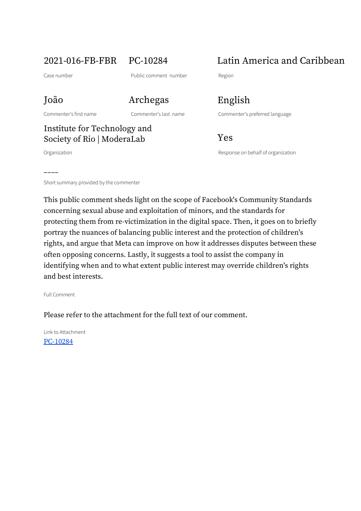João Archegas English

# Institute for Technology and Society of Rio | ModeraLab Yes

––––

2021-016-FB-FBR PC-10284 Latin America and Caribbean

Commenter's first name Commenter's last name Commenter's preferred language

Organization Response on behalf of organization

Short summary provided by the commenter

This public comment sheds light on the scope of Facebook's Community Standards concerning sexual abuse and exploitation of minors, and the standards for protecting them from re-victimization in the digital space. Then, it goes on to briefly portray the nuances of balancing public interest and the protection of children's rights, and argue that Meta can improve on how it addresses disputes between these often opposing concerns. Lastly, it suggests a tool to assist the company in identifying when and to what extent public interest may override children's rights and best interests.

Full Comment

Please refer to the attachment for the full text of our comment.

Link to Attachment [PC-10284](https://osbcontent.s3.eu-west-1.amazonaws.com/PC-10284.pdf)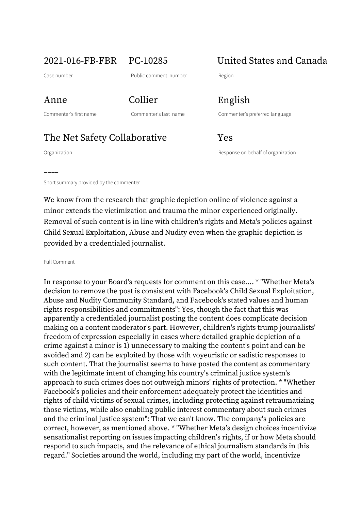2021-016-FB-FBR PC-10285 United States and Canada

Case number **Case number** Public comment number Region

Anne Collier English

Commenter's first name Commenter's last name Commenter's preferred language

# The Net Safety Collaborative Yes

––––

Organization Response on behalf of organization

Short summary provided by the commenter

We know from the research that graphic depiction online of violence against a minor extends the victimization and trauma the minor experienced originally. Removal of such content is in line with children's rights and Meta's policies against Child Sexual Exploitation, Abuse and Nudity even when the graphic depiction is provided by a credentialed journalist.

Full Comment

In response to your Board's requests for comment on this case.... \* "Whether Meta's decision to remove the post is consistent with Facebook's Child Sexual Exploitation, Abuse and Nudity Community Standard, and Facebook's stated values and human rights responsibilities and commitments": Yes, though the fact that this was apparently a credentialed journalist posting the content does complicate decision making on a content moderator's part. However, children's rights trump journalists' freedom of expression especially in cases where detailed graphic depiction of a crime against a minor is 1) unnecessary to making the content's point and can be avoided and 2) can be exploited by those with voyeuristic or sadistic responses to such content. That the journalist seems to have posted the content as commentary with the legitimate intent of changing his country's criminal justice system's approach to such crimes does not outweigh minors' rights of protection. \* "Whether Facebook's policies and their enforcement adequately protect the identities and rights of child victims of sexual crimes, including protecting against retraumatizing those victims, while also enabling public interest commentary about such crimes and the criminal justice system": That we can't know. The company's policies are correct, however, as mentioned above. \* "Whether Meta's design choices incentivize sensationalist reporting on issues impacting children's rights, if or how Meta should respond to such impacts, and the relevance of ethical journalism standards in this regard." Societies around the world, including my part of the world, incentivize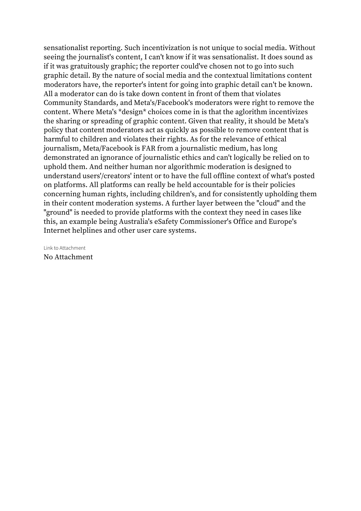sensationalist reporting. Such incentivization is not unique to social media. Without seeing the journalist's content, I can't know if it was sensationalist. It does sound as if it was gratuitously graphic; the reporter could've chosen not to go into such graphic detail. By the nature of social media and the contextual limitations content moderators have, the reporter's intent for going into graphic detail can't be known. All a moderator can do is take down content in front of them that violates Community Standards, and Meta's/Facebook's moderators were right to remove the content. Where Meta's \*design\* choices come in is that the aglorithm incentivizes the sharing or spreading of graphic content. Given that reality, it should be Meta's policy that content moderators act as quickly as possible to remove content that is harmful to children and violates their rights. As for the relevance of ethical journalism, Meta/Facebook is FAR from a journalistic medium, has long demonstrated an ignorance of journalistic ethics and can't logically be relied on to uphold them. And neither human nor algorithmic moderation is designed to understand users'/creators' intent or to have the full offline context of what's posted on platforms. All platforms can really be held accountable for is their policies concerning human rights, including children's, and for consistently upholding them in their content moderation systems. A further layer between the "cloud" and the "ground" is needed to provide platforms with the context they need in cases like this, an example being Australia's eSafety Commissioner's Office and Europe's Internet helplines and other user care systems.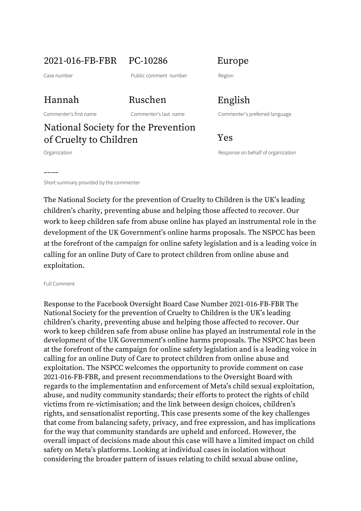## 2021-016-FB-FBR PC-10286 Europe

Case number **Case number** Public comment number Region

### Hannah Ruschen English

Commenter's first name Commenter's last name Commenter's preferred language

# National Society for the Prevention of Cruelty to Children Yes

––––

Organization Response on behalf of organization

Short summary provided by the commenter

The National Society for the prevention of Cruelty to Children is the UK's leading children's charity, preventing abuse and helping those affected to recover. Our work to keep children safe from abuse online has played an instrumental role in the development of the UK Government's online harms proposals. The NSPCC has been at the forefront of the campaign for online safety legislation and is a leading voice in calling for an online Duty of Care to protect children from online abuse and exploitation.

### Full Comment

Response to the Facebook Oversight Board Case Number 2021-016-FB-FBR The National Society for the prevention of Cruelty to Children is the UK's leading children's charity, preventing abuse and helping those affected to recover. Our work to keep children safe from abuse online has played an instrumental role in the development of the UK Government's online harms proposals. The NSPCC has been at the forefront of the campaign for online safety legislation and is a leading voice in calling for an online Duty of Care to protect children from online abuse and exploitation. The NSPCC welcomes the opportunity to provide comment on case 2021-016-FB-FBR, and present recommendations to the Oversight Board with regards to the implementation and enforcement of Meta's child sexual exploitation, abuse, and nudity community standards; their efforts to protect the rights of child victims from re-victimisation; and the link between design choices, children's rights, and sensationalist reporting. This case presents some of the key challenges that come from balancing safety, privacy, and free expression, and has implications for the way that community standards are upheld and enforced. However, the overall impact of decisions made about this case will have a limited impact on child safety on Meta's platforms. Looking at individual cases in isolation without considering the broader pattern of issues relating to child sexual abuse online,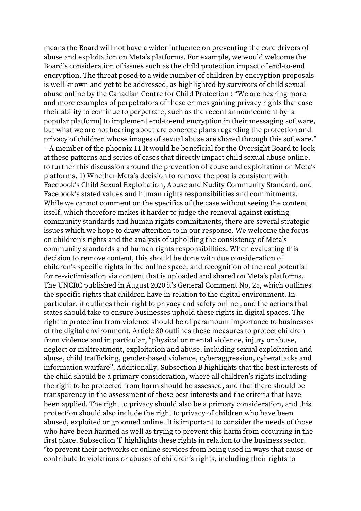means the Board will not have a wider influence on preventing the core drivers of abuse and exploitation on Meta's platforms. For example, we would welcome the Board's consideration of issues such as the child protection impact of end-to-end encryption. The threat posed to a wide number of children by encryption proposals is well known and yet to be addressed, as highlighted by survivors of child sexual abuse online by the Canadian Centre for Child Protection : "We are hearing more and more examples of perpetrators of these crimes gaining privacy rights that ease their ability to continue to perpetrate, such as the recent announcement by [a popular platform] to implement end-to-end encryption in their messaging software, but what we are not hearing about are concrete plans regarding the protection and privacy of children whose images of sexual abuse are shared through this software." – A member of the phoenix 11 It would be beneficial for the Oversight Board to look at these patterns and series of cases that directly impact child sexual abuse online, to further this discussion around the prevention of abuse and exploitation on Meta's platforms. 1) Whether Meta's decision to remove the post is consistent with Facebook's Child Sexual Exploitation, Abuse and Nudity Community Standard, and Facebook's stated values and human rights responsibilities and commitments. While we cannot comment on the specifics of the case without seeing the content itself, which therefore makes it harder to judge the removal against existing community standards and human rights commitments, there are several strategic issues which we hope to draw attention to in our response. We welcome the focus on children's rights and the analysis of upholding the consistency of Meta's community standards and human rights responsibilities. When evaluating this decision to remove content, this should be done with due consideration of children's specific rights in the online space, and recognition of the real potential for re-victimisation via content that is uploaded and shared on Meta's platforms. The UNCRC published in August 2020 it's General Comment No. 25, which outlines the specific rights that children have in relation to the digital environment. In particular, it outlines their right to privacy and safety online , and the actions that states should take to ensure businesses uphold these rights in digital spaces. The right to protection from violence should be of paramount importance to businesses of the digital environment. Article 80 outlines these measures to protect children from violence and in particular, "physical or mental violence, injury or abuse, neglect or maltreatment, exploitation and abuse, including sexual exploitation and abuse, child trafficking, gender-based violence, cyberaggression, cyberattacks and information warfare". Additionally, Subsection B highlights that the best interests of the child should be a primary consideration, where all children's rights including the right to be protected from harm should be assessed, and that there should be transparency in the assessment of these best interests and the criteria that have been applied. The right to privacy should also be a primary consideration, and this protection should also include the right to privacy of children who have been abused, exploited or groomed online. It is important to consider the needs of those who have been harmed as well as trying to prevent this harm from occurring in the first place. Subsection 'I' highlights these rights in relation to the business sector, "to prevent their networks or online services from being used in ways that cause or contribute to violations or abuses of children's rights, including their rights to